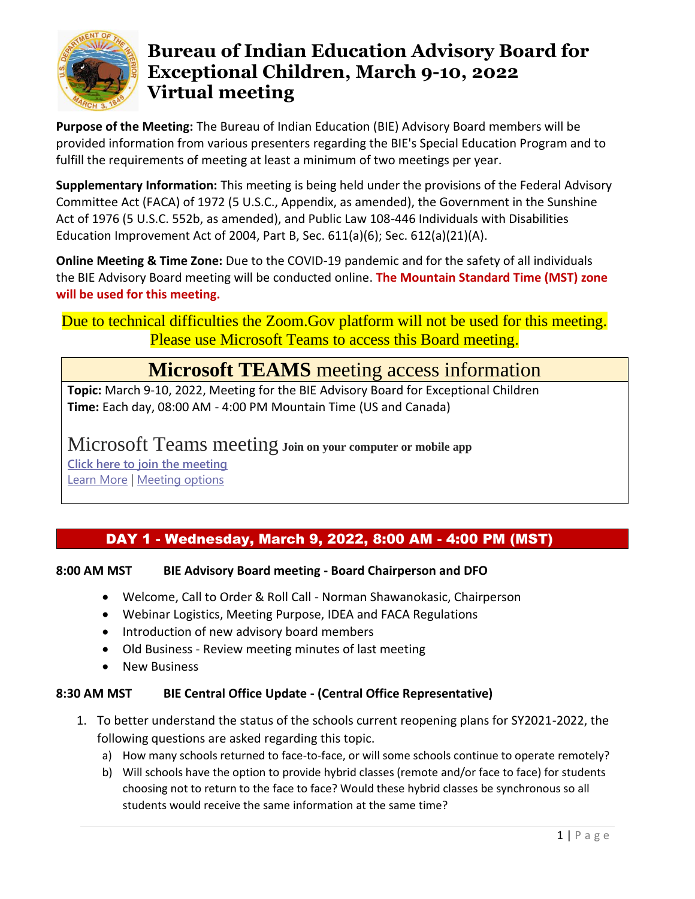

**Purpose of the Meeting:** The Bureau of Indian Education (BIE) Advisory Board members will be provided information from various presenters regarding the BIE's Special Education Program and to fulfill the requirements of meeting at least a minimum of two meetings per year.

**Supplementary Information:** This meeting is being held under the provisions of the Federal Advisory Committee Act (FACA) of 1972 (5 U.S.C., Appendix, as amended), the Government in the Sunshine Act of 1976 (5 U.S.C. 552b, as amended), and Public Law 108-446 Individuals with Disabilities Education Improvement Act of 2004, Part B, Sec. 611(a)(6); Sec. 612(a)(21)(A).

**Online Meeting & Time Zone:** Due to the COVID-19 pandemic and for the safety of all individuals the BIE Advisory Board meeting will be conducted online. **The Mountain Standard Time (MST) zone will be used for this meeting.**

Due to technical difficulties the Zoom.Gov platform will not be used for this meeting. Please use Microsoft Teams to access this Board meeting.

# **Microsoft TEAMS** meeting access information

**Topic:** March 9-10, 2022, Meeting for the BIE Advisory Board for Exceptional Children **Time:** Each day, 08:00 AM - 4:00 PM Mountain Time (US and Canada)

Microsoft Teams meeting **Join on your computer or mobile app [Click here to join the meeting](https://teams.microsoft.com/l/meetup-join/19%3ameeting_OGZjNDljYjItMDU5Ny00MjU4LWI4NjEtMDI2ZjliODA2ZDQx%40thread.v2/0?context=%7b%22Tid%22%3a%220693b5ba-4b18-4d7b-9341-f32f400a5494%22%2c%22Oid%22%3a%22572d321a-eaee-47f5-9cbe-83e31a80e115%22%7d)** [Learn More](https://aka.ms/JoinTeamsMeeting) | [Meeting options](https://teams.microsoft.com/meetingOptions/?organizerId=572d321a-eaee-47f5-9cbe-83e31a80e115&tenantId=0693b5ba-4b18-4d7b-9341-f32f400a5494&threadId=19_meeting_OGZjNDljYjItMDU5Ny00MjU4LWI4NjEtMDI2ZjliODA2ZDQx@thread.v2&messageId=0&language=en-US)

# DAY 1 - Wednesday, March 9, 2022, 8:00 AM - 4:00 PM (MST)

# **8:00 AM MST BIE Advisory Board meeting - Board Chairperson and DFO**

- Welcome, Call to Order & Roll Call Norman Shawanokasic, Chairperson
- Webinar Logistics, Meeting Purpose, IDEA and FACA Regulations
- Introduction of new advisory board members
- Old Business Review meeting minutes of last meeting
- New Business

### **8:30 AM MST BIE Central Office Update - (Central Office Representative)**

- 1. To better understand the status of the schools current reopening plans for SY2021-2022, the following questions are asked regarding this topic.
	- a) How many schools returned to face-to-face, or will some schools continue to operate remotely?
	- b) Will schools have the option to provide hybrid classes (remote and/or face to face) for students choosing not to return to the face to face? Would these hybrid classes be synchronous so all students would receive the same information at the same time?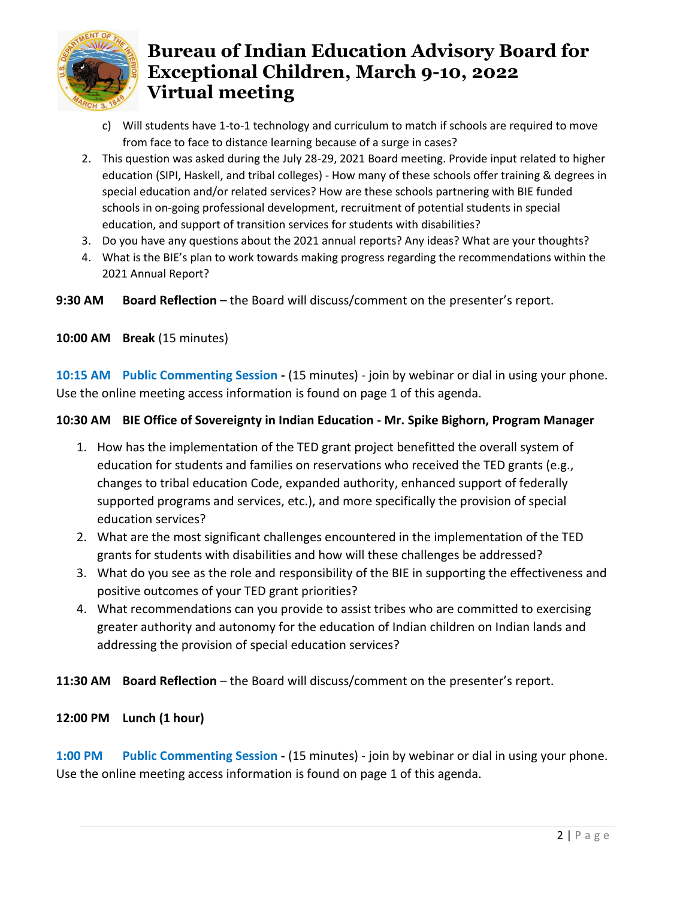

- c) Will students have 1-to-1 technology and curriculum to match if schools are required to move from face to face to distance learning because of a surge in cases?
- 2. This question was asked during the July 28-29, 2021 Board meeting. Provide input related to higher education (SIPI, Haskell, and tribal colleges) - How many of these schools offer training & degrees in special education and/or related services? How are these schools partnering with BIE funded schools in on-going professional development, recruitment of potential students in special education, and support of transition services for students with disabilities?
- 3. Do you have any questions about the 2021 annual reports? Any ideas? What are your thoughts?
- 4. What is the BIE's plan to work towards making progress regarding the recommendations within the 2021 Annual Report?

9:30 AM Board Reflection – the Board will discuss/comment on the presenter's report.

**10:00 AM Break** (15 minutes)

**10:15 AM Public Commenting Session -** (15 minutes) - join by webinar or dial in using your phone. Use the online meeting access information is found on page 1 of this agenda.

### **10:30 AM BIE Office of Sovereignty in Indian Education - Mr. Spike Bighorn, Program Manager**

- 1. How has the implementation of the TED grant project benefitted the overall system of education for students and families on reservations who received the TED grants (e.g., changes to tribal education Code, expanded authority, enhanced support of federally supported programs and services, etc.), and more specifically the provision of special education services?
- 2. What are the most significant challenges encountered in the implementation of the TED grants for students with disabilities and how will these challenges be addressed?
- 3. What do you see as the role and responsibility of the BIE in supporting the effectiveness and positive outcomes of your TED grant priorities?
- 4. What recommendations can you provide to assist tribes who are committed to exercising greater authority and autonomy for the education of Indian children on Indian lands and addressing the provision of special education services?

# 11:30 AM Board Reflection – the Board will discuss/comment on the presenter's report.

### **12:00 PM Lunch (1 hour)**

**1:00 PM Public Commenting Session -** (15 minutes) - join by webinar or dial in using your phone. Use the online meeting access information is found on page 1 of this agenda.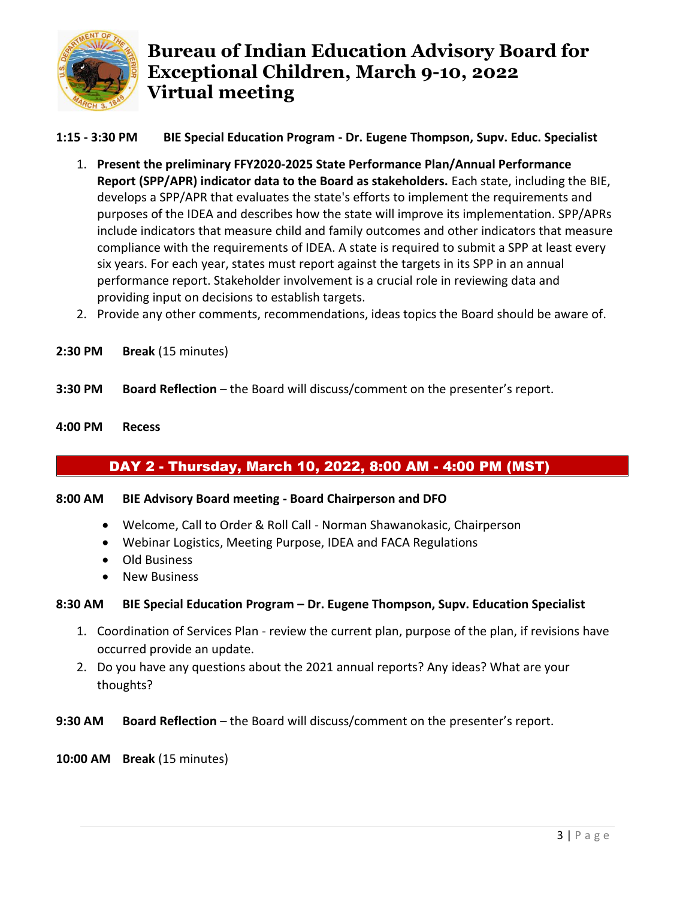

### **1:15 - 3:30 PM BIE Special Education Program - Dr. Eugene Thompson, Supv. Educ. Specialist**

- 1. **Present the preliminary FFY2020-2025 State Performance Plan/Annual Performance Report (SPP/APR) indicator data to the Board as stakeholders.** Each state, including the BIE, develops a SPP/APR that evaluates the state's efforts to implement the requirements and purposes of the IDEA and describes how the state will improve its implementation. SPP/APRs include indicators that measure child and family outcomes and other indicators that measure compliance with the requirements of IDEA. A state is required to submit a SPP at least every six years. For each year, states must report against the targets in its SPP in an annual performance report. Stakeholder involvement is a crucial role in reviewing data and providing input on decisions to establish targets.
- 2. Provide any other comments, recommendations, ideas topics the Board should be aware of.
- **2:30 PM Break** (15 minutes)
- **3:30 PM Board Reflection**  the Board will discuss/comment on the presenter's report.
- **4:00 PM Recess**

# DAY 2 - Thursday, March 10, 2022, 8:00 AM - 4:00 PM (MST)

#### **8:00 AM BIE Advisory Board meeting - Board Chairperson and DFO**

- Welcome, Call to Order & Roll Call Norman Shawanokasic, Chairperson
- Webinar Logistics, Meeting Purpose, IDEA and FACA Regulations
- Old Business
- New Business

#### **8:30 AM BIE Special Education Program – Dr. Eugene Thompson, Supv. Education Specialist**

- 1. Coordination of Services Plan review the current plan, purpose of the plan, if revisions have occurred provide an update.
- 2. Do you have any questions about the 2021 annual reports? Any ideas? What are your thoughts?
- **9:30 AM Board Reflection**  the Board will discuss/comment on the presenter's report.

#### **10:00 AM Break** (15 minutes)